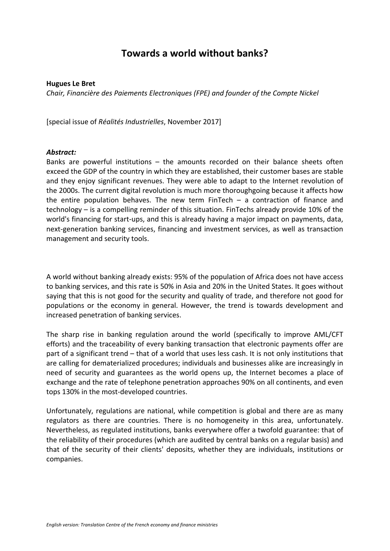## **Towards a world without banks?**

## **Hugues Le Bret**

*Chair, Financière des Paiements Electroniques (FPE) and founder of the Compte Nickel*

[special issue of *Réalités Industrielles*, November 2017]

## *Abstract:*

Banks are powerful institutions – the amounts recorded on their balance sheets often exceed the GDP of the country in which they are established, their customer bases are stable and they enjoy significant revenues. They were able to adapt to the Internet revolution of the 2000s. The current digital revolution is much more thoroughgoing because it affects how the entire population behaves. The new term  $FinTech - a$  contraction of finance and technology – is a compelling reminder of this situation. FinTechs already provide 10% of the world's financing for start-ups, and this is already having a major impact on payments, data, next-generation banking services, financing and investment services, as well as transaction management and security tools.

A world without banking already exists: 95% of the population of Africa does not have access to banking services, and this rate is 50% in Asia and 20% in the United States. It goes without saying that this is not good for the security and quality of trade, and therefore not good for populations or the economy in general. However, the trend is towards development and increased penetration of banking services.

The sharp rise in banking regulation around the world (specifically to improve AML/CFT efforts) and the traceability of every banking transaction that electronic payments offer are part of a significant trend – that of a world that uses less cash. It is not only institutions that are calling for dematerialized procedures; individuals and businesses alike are increasingly in need of security and guarantees as the world opens up, the Internet becomes a place of exchange and the rate of telephone penetration approaches 90% on all continents, and even tops 130% in the most-developed countries.

Unfortunately, regulations are national, while competition is global and there are as many regulators as there are countries. There is no homogeneity in this area, unfortunately. Nevertheless, as regulated institutions, banks everywhere offer a twofold guarantee: that of the reliability of their procedures (which are audited by central banks on a regular basis) and that of the security of their clients' deposits, whether they are individuals, institutions or companies.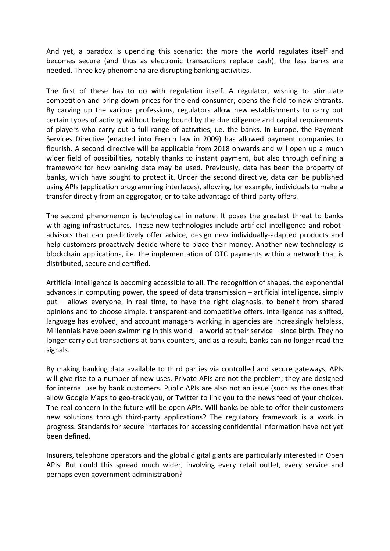And yet, a paradox is upending this scenario: the more the world regulates itself and becomes secure (and thus as electronic transactions replace cash), the less banks are needed. Three key phenomena are disrupting banking activities.

The first of these has to do with regulation itself. A regulator, wishing to stimulate competition and bring down prices for the end consumer, opens the field to new entrants. By carving up the various professions, regulators allow new establishments to carry out certain types of activity without being bound by the due diligence and capital requirements of players who carry out a full range of activities, i.e. the banks. In Europe, the Payment Services Directive (enacted into French law in 2009) has allowed payment companies to flourish. A second directive will be applicable from 2018 onwards and will open up a much wider field of possibilities, notably thanks to instant payment, but also through defining a framework for how banking data may be used. Previously, data has been the property of banks, which have sought to protect it. Under the second directive, data can be published using APIs (application programming interfaces), allowing, for example, individuals to make a transfer directly from an aggregator, or to take advantage of third-party offers.

The second phenomenon is technological in nature. It poses the greatest threat to banks with aging infrastructures. These new technologies include artificial intelligence and robotadvisors that can predictively offer advice, design new individually-adapted products and help customers proactively decide where to place their money. Another new technology is blockchain applications, i.e. the implementation of OTC payments within a network that is distributed, secure and certified.

Artificial intelligence is becoming accessible to all. The recognition of shapes, the exponential advances in computing power, the speed of data transmission – artificial intelligence, simply put – allows everyone, in real time, to have the right diagnosis, to benefit from shared opinions and to choose simple, transparent and competitive offers. Intelligence has shifted, language has evolved, and account managers working in agencies are increasingly helpless. Millennials have been swimming in this world – a world at their service – since birth. They no longer carry out transactions at bank counters, and as a result, banks can no longer read the signals.

By making banking data available to third parties via controlled and secure gateways, APIs will give rise to a number of new uses. Private APIs are not the problem; they are designed for internal use by bank customers. Public APIs are also not an issue (such as the ones that allow Google Maps to geo-track you, or Twitter to link you to the news feed of your choice). The real concern in the future will be open APIs. Will banks be able to offer their customers new solutions through third-party applications? The regulatory framework is a work in progress. Standards for secure interfaces for accessing confidential information have not yet been defined.

Insurers, telephone operators and the global digital giants are particularly interested in Open APIs. But could this spread much wider, involving every retail outlet, every service and perhaps even government administration?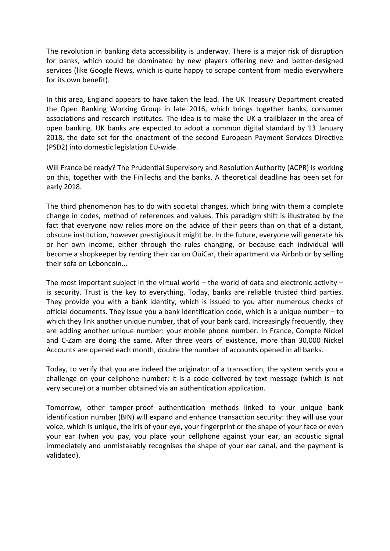The revolution in banking data accessibility is underway. There is a major risk of disruption for banks, which could be dominated by new players offering new and better-designed services (like Google News, which is quite happy to scrape content from media everywhere for its own benefit).

In this area, England appears to have taken the lead. The UK Treasury Department created the Open Banking Working Group in late 2016, which brings together banks, consumer associations and research institutes. The idea is to make the UK a trailblazer in the area of open banking. UK banks are expected to adopt a common digital standard by 13 January 2018, the date set for the enactment of the second European Payment Services Directive (PSD2) into domestic legislation EU-wide.

Will France be ready? The Prudential Supervisory and Resolution Authority (ACPR) is working on this, together with the FinTechs and the banks. A theoretical deadline has been set for early 2018.

The third phenomenon has to do with societal changes, which bring with them a complete change in codes, method of references and values. This paradigm shift is illustrated by the fact that everyone now relies more on the advice of their peers than on that of a distant, obscure institution, however prestigious it might be. In the future, everyone will generate his or her own income, either through the rules changing, or because each individual will become a shopkeeper by renting their car on OuiCar, their apartment via Airbnb or by selling their sofa on Leboncoin...

The most important subject in the virtual world – the world of data and electronic activity – is security. Trust is the key to everything. Today, banks are reliable trusted third parties. They provide you with a bank identity, which is issued to you after numerous checks of official documents. They issue you a bank identification code, which is a unique number – to which they link another unique number, that of your bank card. Increasingly frequently, they are adding another unique number: your mobile phone number. In France, Compte Nickel and C-Zam are doing the same. After three years of existence, more than 30,000 Nickel Accounts are opened each month, double the number of accounts opened in all banks.

Today, to verify that you are indeed the originator of a transaction, the system sends you a challenge on your cellphone number: it is a code delivered by text message (which is not very secure) or a number obtained via an authentication application.

Tomorrow, other tamper-proof authentication methods linked to your unique bank identification number (BIN) will expand and enhance transaction security: they will use your voice, which is unique, the iris of your eye, your fingerprint or the shape of your face or even your ear (when you pay, you place your cellphone against your ear, an acoustic signal immediately and unmistakably recognises the shape of your ear canal, and the payment is validated).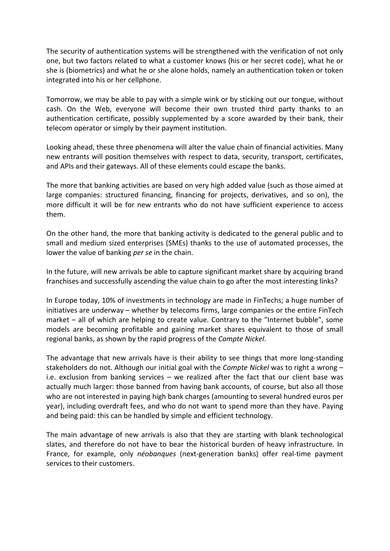The security of authentication systems will be strengthened with the verification of not only one, but two factors related to what a customer knows (his or her secret code), what he or she is (biometrics) and what he or she alone holds, namely an authentication token or token integrated into his or her cellphone.

Tomorrow, we may be able to pay with a simple wink or by sticking out our tongue, without cash. On the Web, everyone will become their own trusted third party thanks to an authentication certificate, possibly supplemented by a score awarded by their bank, their telecom operator or simply by their payment institution.

Looking ahead, these three phenomena will alter the value chain of financial activities. Many new entrants will position themselves with respect to data, security, transport, certificates, and APIs and their gateways. All of these elements could escape the banks.

The more that banking activities are based on very high added value (such as those aimed at large companies: structured financing, financing for projects, derivatives, and so on), the more difficult it will be for new entrants who do not have sufficient experience to access them.

On the other hand, the more that banking activity is dedicated to the general public and to small and medium sized enterprises (SMEs) thanks to the use of automated processes, the lower the value of banking *per se* in the chain.

In the future, will new arrivals be able to capture significant market share by acquiring brand franchises and successfully ascending the value chain to go after the most interesting links?

In Europe today, 10% of investments in technology are made in FinTechs; a huge number of initiatives are underway – whether by telecoms firms, large companies or the entire FinTech market – all of which are helping to create value. Contrary to the "Internet bubble", some models are becoming profitable and gaining market shares equivalent to those of small regional banks, as shown by the rapid progress of the *Compte Nickel*.

The advantage that new arrivals have is their ability to see things that more long-standing stakeholders do not. Although our initial goal with the *Compte Nickel* was to right a wrong – i.e. exclusion from banking services – we realized after the fact that our client base was actually much larger: those banned from having bank accounts, of course, but also all those who are not interested in paying high bank charges (amounting to several hundred euros per year), including overdraft fees, and who do not want to spend more than they have. Paying and being paid: this can be handled by simple and efficient technology.

The main advantage of new arrivals is also that they are starting with blank technological slates, and therefore do not have to bear the historical burden of heavy infrastructure. In France, for example, only *néobanques* (next-generation banks) offer real-time payment services to their customers.